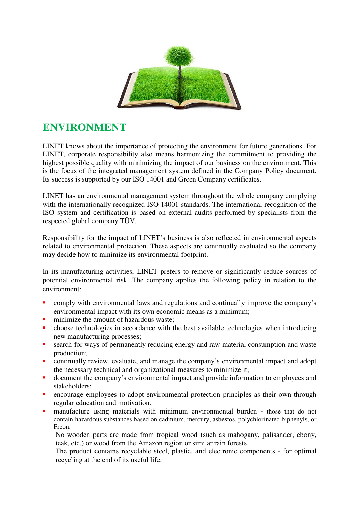

# **ENVIRONMENT**

LINET knows about the importance of protecting the environment for future generations. For LINET, corporate responsibility also means harmonizing the commitment to providing the highest possible quality with minimizing the impact of our business on the environment. This is the focus of the integrated management system defined in the Company Policy document. Its success is supported by our ISO 14001 and Green Company certificates.

LINET has an environmental management system throughout the whole company complying with the internationally recognized ISO 14001 standards. The international recognition of the ISO system and certification is based on external audits performed by specialists from the respected global company TŰV.

Responsibility for the impact of LINET's business is also reflected in environmental aspects related to environmental protection. These aspects are continually evaluated so the company may decide how to minimize its environmental footprint.

In its manufacturing activities, LINET prefers to remove or significantly reduce sources of potential environmental risk. The company applies the following policy in relation to the environment:

- comply with environmental laws and regulations and continually improve the company's environmental impact with its own economic means as a minimum;
- minimize the amount of hazardous waste;
- **•** choose technologies in accordance with the best available technologies when introducing new manufacturing processes;
- search for ways of permanently reducing energy and raw material consumption and waste production;
- continually review, evaluate, and manage the company's environmental impact and adopt the necessary technical and organizational measures to minimize it;
- document the company's environmental impact and provide information to employees and stakeholders;
- **E** encourage employees to adopt environmental protection principles as their own through regular education and motivation.
- **n** manufacture using materials with minimum environmental burden those that do not contain hazardous substances based on cadmium, mercury, asbestos, polychlorinated biphenyls, or Freon.

No wooden parts are made from tropical wood (such as mahogany, palisander, ebony, teak, etc.) or wood from the Amazon region or similar rain forests.

The product contains recyclable steel, plastic, and electronic components - for optimal recycling at the end of its useful life.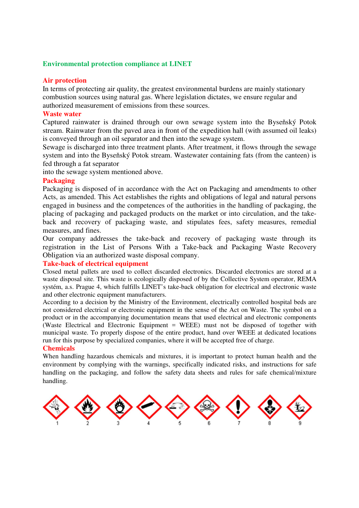### **Environmental protection compliance at LINET**

#### **Air protection**

In terms of protecting air quality, the greatest environmental burdens are mainly stationary combustion sources using natural gas. Where legislation dictates, we ensure regular and authorized measurement of emissions from these sources.

#### **Waste water**

Captured rainwater is drained through our own sewage system into the Byseňský Potok stream. Rainwater from the paved area in front of the expedition hall (with assumed oil leaks) is conveyed through an oil separator and then into the sewage system.

Sewage is discharged into three treatment plants. After treatment, it flows through the sewage system and into the Byseňský Potok stream. Wastewater containing fats (from the canteen) is fed through a fat separator

into the sewage system mentioned above.

#### **Packaging**

Packaging is disposed of in accordance with the Act on Packaging and amendments to other Acts, as amended. This Act establishes the rights and obligations of legal and natural persons engaged in business and the competences of the authorities in the handling of packaging, the placing of packaging and packaged products on the market or into circulation, and the takeback and recovery of packaging waste, and stipulates fees, safety measures, remedial measures, and fines.

Our company addresses the take-back and recovery of packaging waste through its registration in the List of Persons With a Take-back and Packaging Waste Recovery Obligation via an authorized waste disposal company.

### **Take-back of electrical equipment**

Closed metal pallets are used to collect discarded electronics. Discarded electronics are stored at a waste disposal site. This waste is ecologically disposed of by the Collective System operator, REMA systém, a.s. Prague 4, which fulfills LINET's take-back obligation for electrical and electronic waste and other electronic equipment manufacturers.

According to a decision by the Ministry of the Environment, electrically controlled hospital beds are not considered electrical or electronic equipment in the sense of the Act on Waste. The symbol on a product or in the accompanying documentation means that used electrical and electronic components (Waste Electrical and Electronic Equipment = WEEE) must not be disposed of together with municipal waste. To properly dispose of the entire product, hand over WEEE at dedicated locations run for this purpose by specialized companies, where it will be accepted free of charge.

#### **Chemicals**

When handling hazardous chemicals and mixtures, it is important to protect human health and the environment by complying with the warnings, specifically indicated risks, and instructions for safe handling on the packaging, and follow the safety data sheets and rules for safe chemical/mixture handling.

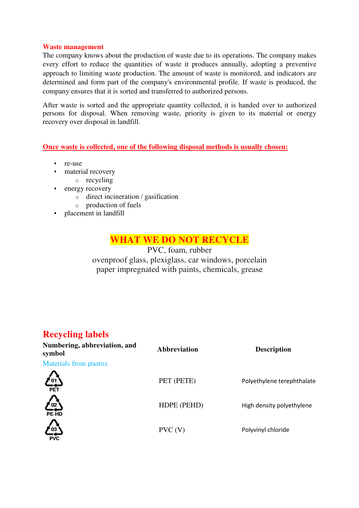# **Waste management**

The company knows about the production of waste due to its operations. The company makes every effort to reduce the quantities of waste it produces annually, adopting a preventive approach to limiting waste production. The amount of waste is monitored, and indicators are determined and form part of the company's environmental profile. If waste is produced, the company ensures that it is sorted and transferred to authorized persons.

After waste is sorted and the appropriate quantity collected, it is handed over to authorized persons for disposal. When removing waste, priority is given to its material or energy recovery over disposal in landfill.

**Once waste is collected, one of the following disposal methods is usually chosen:** 

- re-use
- material recovery
	- o recycling
- energy recovery
	- o direct incineration / gasification
	- o production of fuels
- placement in landfill

# **WHAT WE DO NOT RECYCLE**

PVC, foam, rubber ovenproof glass, plexiglass, car windows, porcelain paper impregnated with paints, chemicals, grease

# **Recycling labels**

| Numbering, abbreviation, and<br>symbol | <b>Abbreviation</b> | <b>Description</b>         |
|----------------------------------------|---------------------|----------------------------|
| <b>Materials from plastics</b>         |                     |                            |
| " 01 '<br>PET                          | PET (PETE)          | Polyethylene terephthalate |
| 盤                                      | HDPE (PEHD)         | High density polyethylene  |
|                                        | PVC (V)             | Polyvinyl chloride         |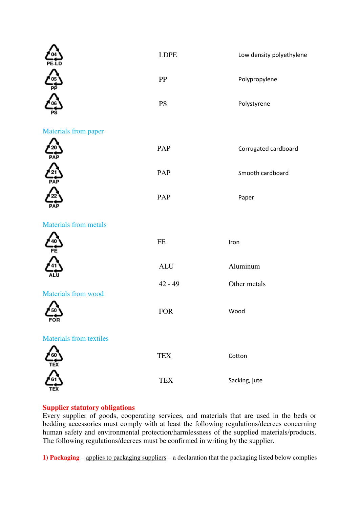|                                | <b>LDPE</b> | Low density polyethylene |
|--------------------------------|-------------|--------------------------|
|                                | PP          | Polypropylene            |
|                                | <b>PS</b>   | Polystyrene              |
| <b>Materials from paper</b>    |             |                          |
| <b>PAF</b>                     | PAP         | Corrugated cardboard     |
| 21                             | PAP         | Smooth cardboard         |
| PAI                            | PAP         | Paper                    |
| <b>Materials from metals</b>   |             |                          |
| FE                             | $\rm FE$    | Iron                     |
|                                | <b>ALU</b>  | Aluminum                 |
| <b>Materials from wood</b>     | $42 - 49$   | Other metals             |
| 50<br>FOR                      | <b>FOR</b>  | Wood                     |
| <b>Materials from textiles</b> |             |                          |
| TEX                            | ${\rm TEX}$ | Cotton                   |
|                                | ${\rm TEX}$ | Sacking, jute            |

# **Supplier statutory obligations**

Every supplier of goods, cooperating services, and materials that are used in the beds or bedding accessories must comply with at least the following regulations/decrees concerning human safety and environmental protection/harmlessness of the supplied materials/products. The following regulations/decrees must be confirmed in writing by the supplier.

**1) Packaging** – applies to packaging suppliers – a declaration that the packaging listed below complies